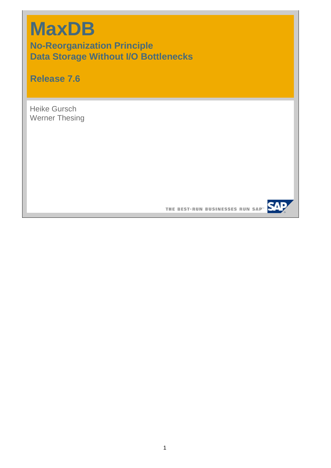# **MaxDB**

**No-Reorganization Principle Data Storage Without I/O Bottlenecks**

**Release 7.6**

Heike Gursch Werner Thesing

THE BEST-RUN BUSINESSES RUN SAP<sup>®</sup> SAP

1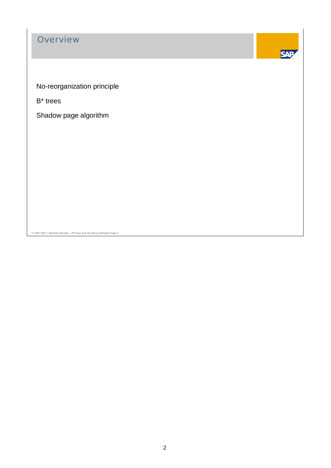# **Overview**



No-reorganization principle

B\* trees

Shadow page algorithm

© SAP 2007 / MaxDB Internals – B\*Trees and No-Reorg Method/ Page 2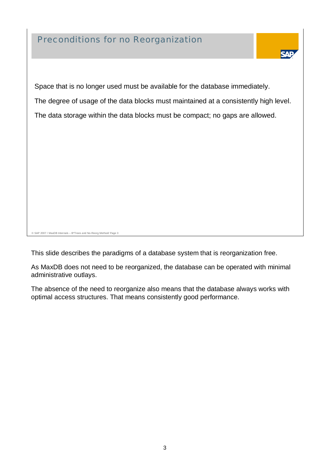### Preconditions for no Reorganization



Space that is no longer used must be available for the database immediately. The degree of usage of the data blocks must maintained at a consistently high level. The data storage within the data blocks must be compact; no gaps are allowed.

© SAP 2007 / MaxDB Internals – B\*Trees and No-Reorg Method/ Page 3

This slide describes the paradigms of a database system that is reorganization free.

As MaxDB does not need to be reorganized, the database can be operated with minimal administrative outlays.

The absence of the need to reorganize also means that the database always works with optimal access structures. That means consistently good performance.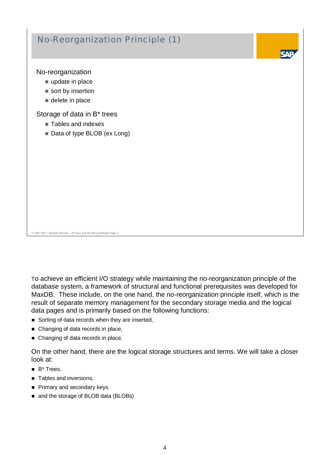# No-Reorganization Principle (1)

No-reorganization

- update in place
- sort by insertion
- delete in place

Storage of data in B\* trees

- Tables and indexes
- Data of type BLOB (ex Long)

To achieve an efficient I/O strategy while maintaining the no-reorganization principle of the database system, a framework of structural and functional prerequisites was developed for MaxDB. These include, on the one hand, the no-reorganization principle itself, which is the result of separate memory management for the secondary storage media and the logical

data pages and is primarily based on the following functions:

- Sorting of data records when they are inserted.
- Changing of data records in place,

© SAP 2007 / MaxDB Internals – B\*Trees and No-Reorg Method/ Page 4

■ Changing of data records in place,

On the other hand, there are the logical storage structures and terms. We will take a closer look at:

- $B^*$  Trees
- Tables and inversions,
- Primary and secondary keys
- and the storage of BLOB data (BLOBs)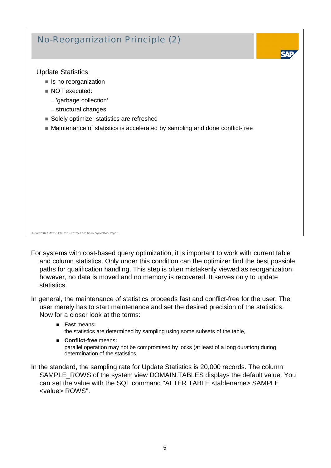# No-Reorganization Principle (2)

Update Statistics

- $\blacksquare$  Is no reorganization
- NOT executed:
	- 'garbage collection'
	- structural changes
- Solely optimizer statistics are refreshed
- Maintenance of statistics is accelerated by sampling and done conflict-free

© SAP 2007 / MaxDB Internals – B\*Trees and No-Reorg Method/ Page 5

For systems with cost-based query optimization, it is important to work with current table and column statistics. Only under this condition can the optimizer find the best possible paths for qualification handling. This step is often mistakenly viewed as reorganization; however, no data is moved and no memory is recovered. It serves only to update statistics.

In general, the maintenance of statistics proceeds fast and conflict-free for the user. The user merely has to start maintenance and set the desired precision of the statistics. Now for a closer look at the terms:

- **Fast** means**:** the statistics are determined by sampling using some subsets of the table,
- **Conflict-free** means**:** parallel operation may not be compromised by locks (at least of a long duration) during determination of the statistics.
- In the standard, the sampling rate for Update Statistics is 20,000 records. The column SAMPLE\_ROWS of the system view DOMAIN.TABLES displays the default value. You can set the value with the SQL command "ALTER TABLE <tablename> SAMPLE <value> ROWS".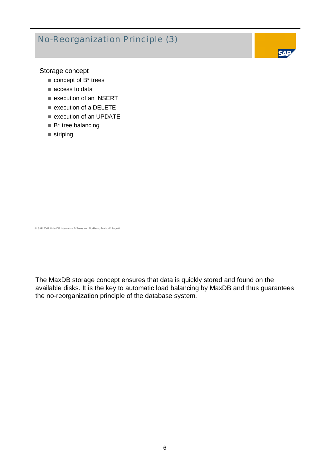

The MaxDB storage concept ensures that data is quickly stored and found on the available disks. It is the key to automatic load balancing by MaxDB and thus guarantees the no-reorganization principle of the database system.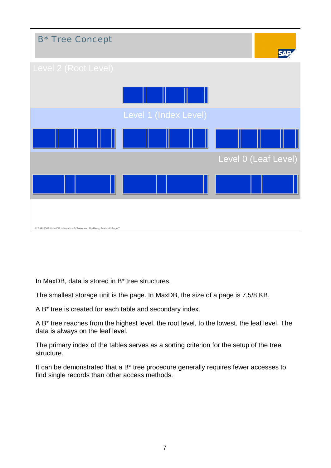

In MaxDB, data is stored in B\* tree structures.

The smallest storage unit is the page. In MaxDB, the size of a page is 7.5/8 KB.

A B\* tree is created for each table and secondary index.

A B\* tree reaches from the highest level, the root level, to the lowest, the leaf level. The data is always on the leaf level.

The primary index of the tables serves as a sorting criterion for the setup of the tree structure.

It can be demonstrated that a B\* tree procedure generally requires fewer accesses to find single records than other access methods.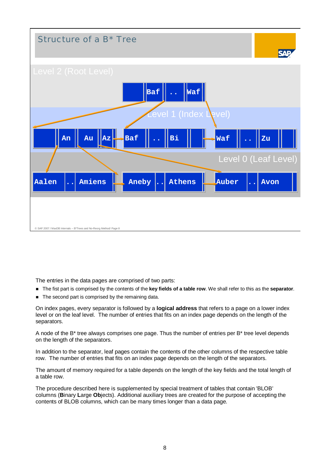

The entries in the data pages are comprised of two parts:

- The fist part is comprised by the contents of the **key fields of a table row**. We shall refer to this as the **separator**.
- The second part is comprised by the remaining data.

On index pages, every separator is followed by a **logical address** that refers to a page on a lower index level or on the leaf level. The number of entries that fits on an index page depends on the length of the separators.

A node of the B\* tree always comprises one page. Thus the number of entries per B\* tree level depends on the length of the separators.

In addition to the separator, leaf pages contain the contents of the other columns of the respective table row. The number of entries that fits on an index page depends on the length of the separators.

The amount of memory required for a table depends on the length of the key fields and the total length of a table row.

The procedure described here is supplemented by special treatment of tables that contain 'BLOB' columns (**B**inary **L**arge **Ob**jects). Additional auxiliary trees are created for the purpose of accepting the contents of BLOB columns, which can be many times longer than a data page.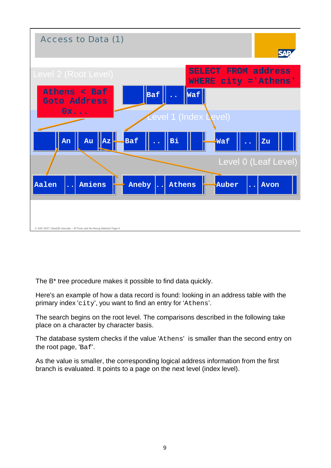

The B\* tree procedure makes it possible to find data quickly.

Here's an example of how a data record is found: looking in an address table with the primary index 'city', you want to find an entry for 'Athens'.

The search begins on the root level. The comparisons described in the following take place on a character by character basis.

The database system checks if the value 'Athens' is smaller than the second entry on the root page, 'Baf'.

As the value is smaller, the corresponding logical address information from the first branch is evaluated. It points to a page on the next level (index level).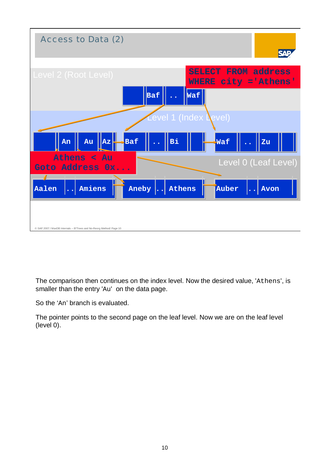

The comparison then continues on the index level. Now the desired value, 'Athens', is smaller than the entry 'Au' on the data page.

So the 'An' branch is evaluated.

The pointer points to the second page on the leaf level. Now we are on the leaf level (level 0).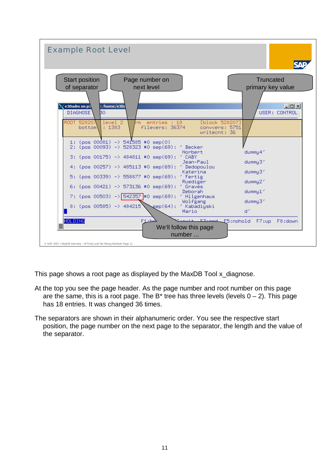

This page shows a root page as displayed by the MaxDB Tool x diagnose.

- At the top you see the page header. As the page number and root number on this page are the same, this is a root page. The  $B^*$  tree has three levels (levels  $0 - 2$ ). This page has 18 entries. It was changed 36 times.
- The separators are shown in their alphanumeric order. You see the respective start position, the page number on the next page to the separator, the length and the value of the separator.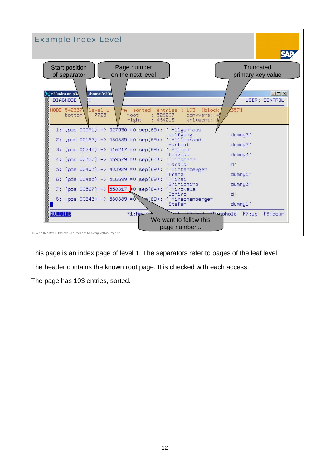

This page is an index page of level 1. The separators refer to pages of the leaf level.

The header contains the known root page. It is checked with each access.

The page has 103 entries, sorted.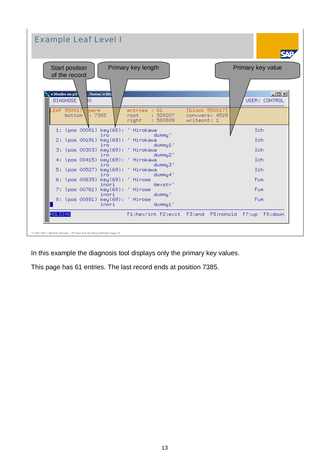| <b>Example Leaf Level I</b>                                                                      |                                                       |                                                 |                                   |
|--------------------------------------------------------------------------------------------------|-------------------------------------------------------|-------------------------------------------------|-----------------------------------|
| <b>Start position</b><br>of the record                                                           | Primary key length                                    |                                                 | Primary key value                 |
| :/home/e30a<br>e30adm on p3.<br>DIAGNOSE<br>BО<br><b>LEAF 558817</b><br>perm<br>: 7385<br>bottom | entries : 61<br>: 528207<br>root<br>right<br>: 580889 | [block 558817]<br>convvers: 4529<br>writecnt: 1 | $ \Box$ $\times$<br>USER: CONTROL |
| 1: (pos 00081) key(68): ' Hirokawa                                                               |                                                       |                                                 | Ich                               |
| iro<br>2: (pos 00191) key(69): ' Hirokawa                                                        | dummy'                                                |                                                 | Ich                               |
| iro<br>3: (pos 00303) key(69): ' Hirokawa                                                        | dummu1'                                               |                                                 | Ich                               |
| iro<br>4: (pos 00415) key(69): ' Hirokawa                                                        | dummy2 <sup>2</sup>                                   |                                                 | Ich                               |
| iro<br>5: (pos 00527) key(69): ' Hirokawa                                                        | dummy3'                                               |                                                 | Ich                               |
| iro<br>6: (pos 00639) key(69): ' Hirose                                                          | dummy4'                                               |                                                 | Fum                               |
| inori                                                                                            | Wexstr'                                               |                                                 |                                   |
| 7: (pos 00761) key(68): ' Hirose<br>inori                                                        | dummy 1                                               |                                                 | <b>Fum</b>                        |
| 8: (pos 00881) key(69): ' Hirose<br>inori                                                        | dummy1'                                               |                                                 | Fum                               |
| <b>HOLDING</b>                                                                                   | F1:hex/int F2:exit F3:end F5:nohold F7:up F8:down     |                                                 |                                   |
|                                                                                                  |                                                       |                                                 |                                   |

In this example the diagnosis tool displays only the primary key values.

This page has 61 entries. The last record ends at position 7385.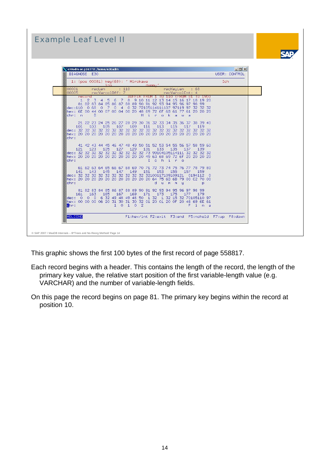| $\measuredangle$ e30adm on p34777: /home/e30adm<br>DIAGNOSE E30                                                                                                                                                                                                                                                                                                                                            | $ \Box$ $x$<br>USER: CONTROL |
|------------------------------------------------------------------------------------------------------------------------------------------------------------------------------------------------------------------------------------------------------------------------------------------------------------------------------------------------------------------------------------------------------------|------------------------------|
| 1: (pos 00081) key(68): ' Hirokawa<br>dummu'<br>iro                                                                                                                                                                                                                                                                                                                                                        | Ich.                         |
| 00001<br>: 110<br>recLen<br>recKeuLen<br>:68<br>00005<br>recVarcolOff: 7<br>recVarcolCnt: 4                                                                                                                                                                                                                                                                                                                |                              |
| BUFFER FRUM 1 TO 110 (FRUM 81 TO 190)<br>record<br>1 2 3 4 5 6 7 8 9 10 11 12 13 14 15 16 17 18 19 20<br>81 82 83 84 85 86 87 88 89 90 91 92 93 94 95 96 97 98 99<br>dec:110  0  68  0  7  0  4  0  32  72105114111107  97119  97  32  32  32<br>lhex: 6E 00 44 00 07 00 04 00 20 48 69 72 6F 6B 61 77 61 20 20 20<br>chr: n<br>H.<br>$\mathbf{i}$<br>r<br>$\bullet$<br>$\overline{a}$<br>D<br>k<br>$-101$ |                              |
| 21 22 23 24 25 26 27 28 29 30 31 32 33 34 35 36 37 38 39 40<br>105<br>107<br>109<br>113<br>103<br>111<br>115<br>101<br>117<br>119<br>lchn:                                                                                                                                                                                                                                                                 |                              |
| 41 42 43 44 45 46 47 48 49 50 51 52 53 54 55 56 57 58 59 60<br>121 123<br>125<br>127<br>129<br>131<br>133<br>135<br>137<br>-139<br>dec: 32 32 32 32 32 32 32 32 32 32 32 73 99104105114111 32 32 32 32<br>hex: 20 20 20 20 20 20 20 20 20 20 20 49 63 68 69 72 6F 20 20 20 20<br>chr:<br>Ichiro                                                                                                            |                              |
| 61 62 63 64 65 66 67 68 69 70 71 72 73 74 75 76 77 78 79 80<br>143<br>145<br>147<br>149<br>151<br>153<br>141<br>155<br>157<br>159<br>dec: 32 32 32 32 32 32 32 32 32 32 32100117109109121 0194112 0<br>hex: 20 20 20 20 20 20 20 20 20 20 20 26 4 75 6D 6D 79 00 C2 70 00<br>chr:<br>dummu<br>p                                                                                                            |                              |
| 81 82 83 84 85 86 87 88 89 90 91 92 93 94 95 96 97 98 99<br>163<br>165<br>167<br>169<br>171<br>173<br>175<br>161<br>177<br>179<br>dec: 0 0 0 6 32 49 48 49 48 50 1 32 1 32 15 32 70105110 97<br>hex: 00 00 00 06 20 31 30 31 30 32 01 20 01 20 0F 20 46 69 6E 61<br>chr:<br>1 0 1 0 2<br>Fi<br>$n - a$                                                                                                     |                              |
| <b>HOLDING</b><br>F1:hex/int F2:exit F3:end F5:nohold F7:up F8:down                                                                                                                                                                                                                                                                                                                                        |                              |

This graphic shows the first 100 bytes of the first record of page 558817.

- Each record begins with a header. This contains the length of the record, the length of the primary key value, the relative start position of the first variable-length value (e.g. VARCHAR) and the number of variable-length fields.
- On this page the record begins on page 81. The primary key begins within the record at position 10.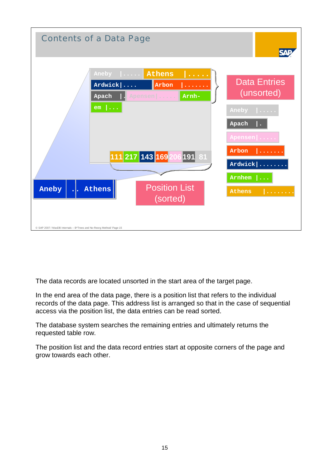

The data records are located unsorted in the start area of the target page.

In the end area of the data page, there is a position list that refers to the individual records of the data page. This address list is arranged so that in the case of sequential access via the position list, the data entries can be read sorted.

The database system searches the remaining entries and ultimately returns the requested table row.

The position list and the data record entries start at opposite corners of the page and grow towards each other.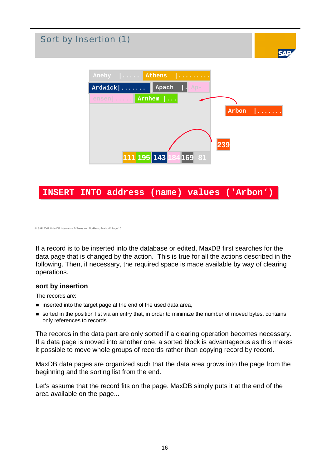

If a record is to be inserted into the database or edited, MaxDB first searches for the data page that is changed by the action. This is true for all the actions described in the following. Then, if necessary, the required space is made available by way of clearing operations.

#### **sort by insertion**

The records are:

- $\blacksquare$  inserted into the target page at the end of the used data area,
- sorted in the position list via an entry that, in order to minimize the number of moved bytes, contains only references to records.

The records in the data part are only sorted if a clearing operation becomes necessary. If a data page is moved into another one, a sorted block is advantageous as this makes it possible to move whole groups of records rather than copying record by record.

MaxDB data pages are organized such that the data area grows into the page from the beginning and the sorting list from the end.

Let's assume that the record fits on the page. MaxDB simply puts it at the end of the area available on the page...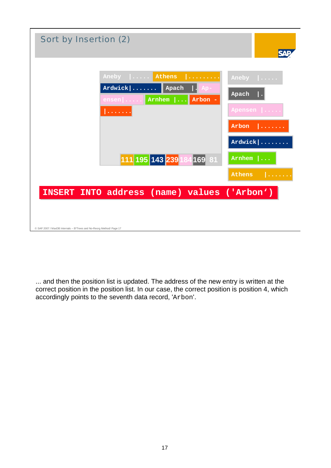| Sort by Insertion (2)                                                                                                                |                                                          |
|--------------------------------------------------------------------------------------------------------------------------------------|----------------------------------------------------------|
| Aneby      Athens<br>.<br>$Ardwick$<br>$\vert$ Apach<br>Ap-<br>Arnhem<br>Arbon -<br>$ensen   \ldots$ .<br>$\sim 100$ km $^{-1}$<br>. | $Anely$ $  \ldots$ .<br>Apach<br>Apensen<br>Arbon<br>.   |
| 111 195 143 239 1<br>169 81                                                                                                          | Ardwick  <br>Arnhem $  \dots$<br><b>Athens</b><br>$\sim$ |
| INSERT INTO address (name) values ('Arbon')<br>© SAP 2007 / MaxDB Internals - B*Trees and No-Reorg Method/ Page 17                   |                                                          |

... and then the position list is updated. The address of the new entry is written at the correct position in the position list. In our case, the correct position is position 4, which accordingly points to the seventh data record, 'Arbon'.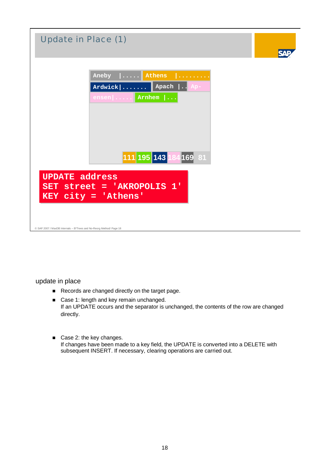| Update in Place (1)                                                                                                     |                                                                                                                                       |  |
|-------------------------------------------------------------------------------------------------------------------------|---------------------------------------------------------------------------------------------------------------------------------------|--|
|                                                                                                                         | Aneby $\ \ldots\ $ Athens<br><u>.</u><br>Apach $\vert \cdot \vert$ Ap-<br>$Ardwick   \ldots \ldots$<br>$\lceil \cdot \rceil$   Arnhem |  |
| <b>UPDATE address</b><br>$KEY$ $city$ = 'Athens'<br>© SAP 2007 / MaxDB Internals - B*Trees and No-Reorg Method/ Page 18 | 111 195 143 184 169 81<br>SET street = 'AKROPOLIS 1'                                                                                  |  |

update in place

- Records are changed directly on the target page.
- Case 1: length and key remain unchanged. If an UPDATE occurs and the separator is unchanged, the contents of the row are changed directly.
- Case 2: the key changes. If changes have been made to a key field, the UPDATE is converted into a DELETE with subsequent INSERT. If necessary, clearing operations are carried out.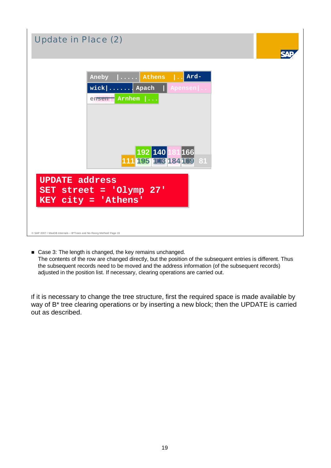

■ Case 3: The length is changed, the key remains unchanged. The contents of the row are changed directly, but the position of the subsequent entries is different. Thus the subsequent records need to be moved and the address information (of the subsequent records) adjusted in the position list. If necessary, clearing operations are carried out.

If it is necessary to change the tree structure, first the required space is made available by way of B<sup>\*</sup> tree clearing operations or by inserting a new block; then the UPDATE is carried out as described.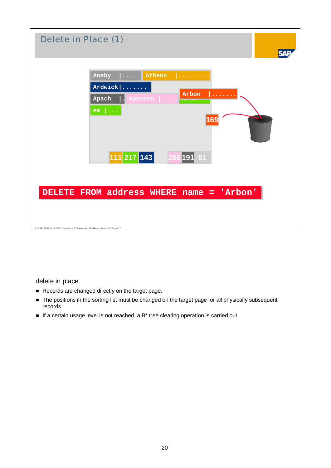

#### delete in place

- Records are changed directly on the target page.
- $\blacksquare$  The positions in the sorting list must be changed on the target page for all physically subsequent records
- If a certain usage level is not reached, a B<sup>\*</sup> tree clearing operation is carried out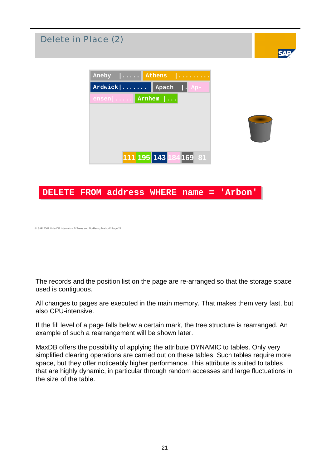

The records and the position list on the page are re-arranged so that the storage space used is contiguous.

All changes to pages are executed in the main memory. That makes them very fast, but also CPU-intensive.

If the fill level of a page falls below a certain mark, the tree structure is rearranged. An example of such a rearrangement will be shown later.

MaxDB offers the possibility of applying the attribute DYNAMIC to tables. Only very simplified clearing operations are carried out on these tables. Such tables require more space, but they offer noticeably higher performance. This attribute is suited to tables that are highly dynamic, in particular through random accesses and large fluctuations in the size of the table.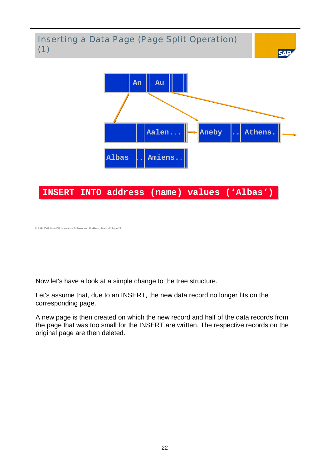

Now let's have a look at a simple change to the tree structure.

Let's assume that, due to an INSERT, the new data record no longer fits on the corresponding page.

A new page is then created on which the new record and half of the data records from the page that was too small for the INSERT are written. The respective records on the original page are then deleted.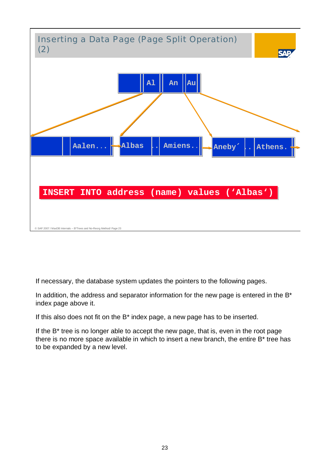

If necessary, the database system updates the pointers to the following pages.

In addition, the address and separator information for the new page is entered in the  $B^*$ index page above it.

If this also does not fit on the B\* index page, a new page has to be inserted.

If the B\* tree is no longer able to accept the new page, that is, even in the root page there is no more space available in which to insert a new branch, the entire B\* tree has to be expanded by a new level.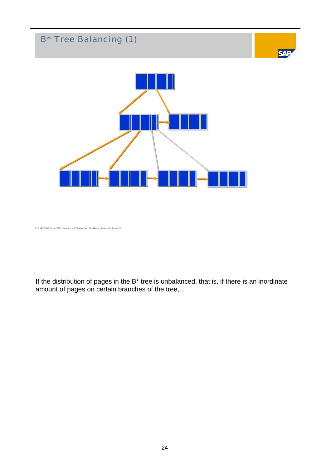

If the distribution of pages in the B\* tree is unbalanced, that is, if there is an inordinate amount of pages on certain branches of the tree,...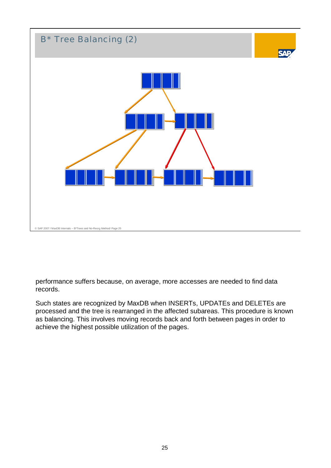

performance suffers because, on average, more accesses are needed to find data records.

Such states are recognized by MaxDB when INSERTs, UPDATEs and DELETEs are processed and the tree is rearranged in the affected subareas. This procedure is known as balancing. This involves moving records back and forth between pages in order to achieve the highest possible utilization of the pages.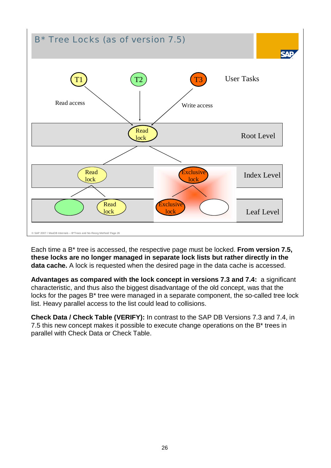

Each time a B\* tree is accessed, the respective page must be locked. **From version 7.5, these locks are no longer managed in separate lock lists but rather directly in the data cache.** A lock is requested when the desired page in the data cache is accessed.

**Advantages as compared with the lock concept in versions 7.3 and 7.4:** a significant characteristic, and thus also the biggest disadvantage of the old concept, was that the locks for the pages B\* tree were managed in a separate component, the so-called tree lock list. Heavy parallel access to the list could lead to collisions.

**Check Data / Check Table (VERIFY):** In contrast to the SAP DB Versions 7.3 and 7.4, in 7.5 this new concept makes it possible to execute change operations on the B\* trees in parallel with Check Data or Check Table.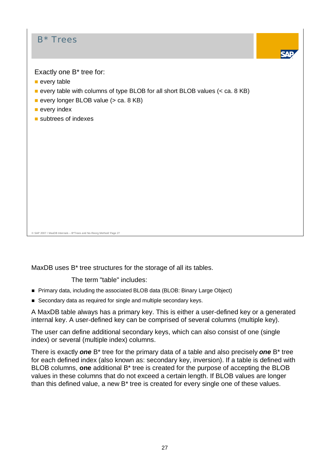

MaxDB uses B\* tree structures for the storage of all its tables.

The term "table" includes:

- **Primary data, including the associated BLOB data (BLOB: Binary Large Object)**
- Secondary data as required for single and multiple secondary keys.

A MaxDB table always has a primary key. This is either a user-defined key or a generated internal key. A user-defined key can be comprised of several columns (multiple key).

The user can define additional secondary keys, which can also consist of one (single index) or several (multiple index) columns.

There is exactly *one* B\* tree for the primary data of a table and also precisely *one* B\* tree for each defined index (also known as: secondary key, inversion). If a table is defined with BLOB columns, **one** additional B\* tree is created for the purpose of accepting the BLOB values in these columns that do not exceed a certain length. If BLOB values are longer than this defined value, a new B\* tree is created for every single one of these values.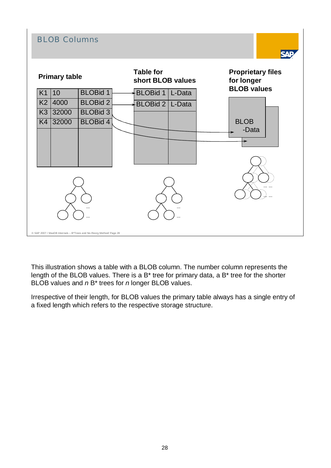

This illustration shows a table with a BLOB column. The number column represents the length of the BLOB values. There is a B\* tree for primary data, a B\* tree for the shorter BLOB values and *n* B\* trees for *n* longer BLOB values.

Irrespective of their length, for BLOB values the primary table always has a single entry of a fixed length which refers to the respective storage structure.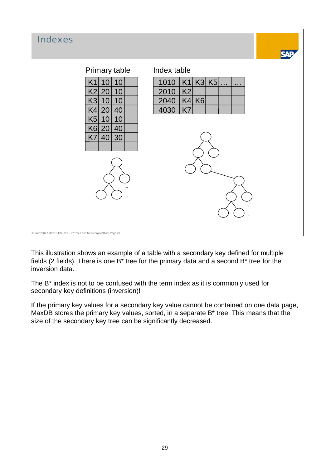| Primary table<br>Index table<br>K1 K3 K5 <br>1010<br>K <sub>1</sub><br>10<br>10<br>$\sim$ $\sim$ $\sim$<br>$\sim$ 100 $\pm$<br>20<br>K2<br>K2<br>10<br>2010<br>K3<br>K4 K6 <br>10<br>10<br>2040<br>20<br>40<br>K4<br>K7<br>4030<br>K5<br>10<br>10<br>K6<br>20<br>40<br>40<br>K7<br>30 | Indexes | 54 N |
|---------------------------------------------------------------------------------------------------------------------------------------------------------------------------------------------------------------------------------------------------------------------------------------|---------|------|
| © SAP 2007 / MaxDB Internals - B*Trees and No-Reorg Method/ Page 29                                                                                                                                                                                                                   |         |      |

This illustration shows an example of a table with a secondary key defined for multiple fields (2 fields). There is one B\* tree for the primary data and a second B\* tree for the inversion data.

The B\* index is not to be confused with the term index as it is commonly used for secondary key definitions (inversion)!

If the primary key values for a secondary key value cannot be contained on one data page, MaxDB stores the primary key values, sorted, in a separate B\* tree. This means that the size of the secondary key tree can be significantly decreased.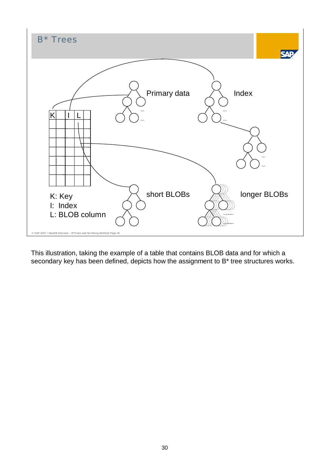

This illustration, taking the example of a table that contains BLOB data and for which a secondary key has been defined, depicts how the assignment to B\* tree structures works.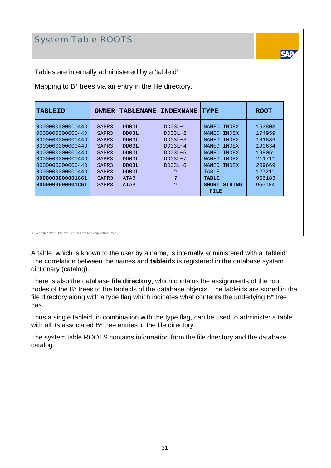# System Table ROOTS



Tables are internally administered by a 'tableid'

Mapping to B\* trees via an entry in the file directory.

| <b>TABLEID</b>   | <b>OWNER</b>      | <b>TABLENAME</b> | <b>INDEXNAME</b> | <b>TYPE</b>                   | <b>ROOT</b> |
|------------------|-------------------|------------------|------------------|-------------------------------|-------------|
| 000000000000044D | SAPR <sub>3</sub> | DD03L            | $DD03L-1$        | <b>INDEX</b><br>NAMED         | 163803      |
| 000000000000044D | SAPR <sub>3</sub> | DD03L            | DD03L~2          | INDEX<br><b>NAMED</b>         | 174959      |
| 000000000000044D | SAPR <sub>3</sub> | DD03L            | DD03L~3          | <b>INDEX</b><br><b>NAMED</b>  | 181836      |
| 000000000000044D | SAPR <sub>3</sub> | DD03L            | $DD03L-4$        | <b>INDEX</b><br><b>NAMED</b>  | 190634      |
| 000000000000044D | SAPR <sub>3</sub> | DD03L            | $DD03L-5$        | INDEX<br><b>NAMED</b>         | 198051      |
| 000000000000044D | SAPR <sub>3</sub> | DD03L            | $DD03L-7$        | INDEX<br><b>NAMED</b>         | 211711      |
| 000000000000044D | SAPR <sub>3</sub> | DD03L            | $DD03L-6$        | <b>INDEX</b><br><b>NAMED</b>  | 209669      |
| 000000000000044D | SAPR3             | DD03L            | ?                | <b>TABLE</b>                  | 127211      |
| 0000000000001C61 | SAPR <sub>3</sub> | <b>ATAB</b>      | C                | <b>TABLE</b>                  | 966183      |
| 0000000000001C61 | SAPR <sub>3</sub> | <b>ATAB</b>      | ?                | <b>STRING</b><br><b>SHORT</b> | 966184      |
|                  |                   |                  |                  | <b>FILE</b>                   |             |
|                  |                   |                  |                  |                               |             |

© SAP 2007 / MaxDB Internals – B\*Trees and No-Reorg Method/ Page 31

A table, which is known to the user by a name, is internally administered with a 'tableid'. The correlation between the names and **tableid**s is registered in the database system dictionary (catalog).

There is also the database **file directory**, which contains the assignments of the root nodes of the B\* trees to the tableids of the database objects. The tableids are stored in the file directory along with a type flag which indicates what contents the underlying B\* tree has.

Thus a single tableid, in combination with the type flag, can be used to administer a table with all its associated B\* tree entries in the file directory.

The system table ROOTS contains information from the file directory and the database catalog.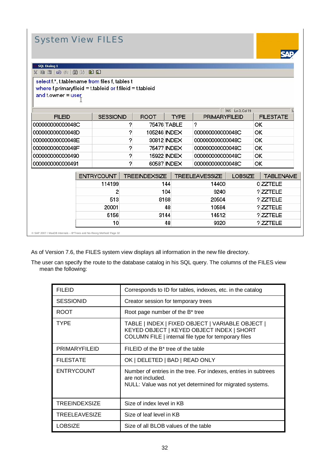# System View FILES

**CAT** 

|  | <b>SQL Dialog 1</b> |  |  |  |
|--|---------------------|--|--|--|
|  |                     |  |  |  |

select f.\*, t.tablename from files f, tables t where f.primaryfileid = t.tableid or f.fileid = t.tableid and t.owner = user

|                  |                  |             |              | INS Ln 3, Col 19     |                  |
|------------------|------------------|-------------|--------------|----------------------|------------------|
| <b>FILEID</b>    | <b>SESSIONID</b> | <b>ROOT</b> | <b>TYPE</b>  | <b>PRIMARYFILEID</b> | <b>FILESTATE</b> |
| 000000000000048C |                  |             | 75476 TABLE  | っ                    | ок               |
| 000000000000048D | າ                |             | 105246 INDEX | 000000000000048C     | ΙOΚ              |
| 000000000000048E | ↷                |             | 30812 INDEX  | 000000000000048C     | ΙOΚ              |
| 000000000000048F | ≘                |             | 75477 INDEX  | 000000000000048C     | ΙOΚ              |
| 0000000000000490 | っ                |             | 15922 INDEX  | 000000000000048C     | ΙOΚ              |
| 0000000000000491 | ≘                |             | 60587 INDEX  | 000000000000048C     | OK               |

| ENTRYCOUNT | <b>TREEINDEXSIZE</b> | <b>TREELEAVESSIZE</b> | <b>LOBSIZE</b> | <b>TABLENAME</b> |
|------------|----------------------|-----------------------|----------------|------------------|
| 114199     | 144                  | 14400                 |                | 0 ZZTELE         |
|            | 104                  | 9240                  |                | ? ZZTELE         |
| 513        | 8168                 | 20504                 |                | ?ZZTELE          |
| 20001      | 48                   | 10584                 |                | ?ZZTELE          |
| 5156       | 3144                 | 14512                 |                | ?ZZTELE          |
| 10         | 48                   | 9320                  |                | ? ZZTELE         |

© SAP 2007 / MaxDB Internals – B\*Trees and No-Reorg Method/ Page 32

As of Version 7.6, the FILES system view displays all information in the new file directory.

The user can specify the route to the database catalog in his SQL query. The columns of the FILES view mean the following:

| <b>FILEID</b>        | Corresponds to ID for tables, indexes, etc. in the catalog                                                                                            |  |
|----------------------|-------------------------------------------------------------------------------------------------------------------------------------------------------|--|
| <b>SESSIONID</b>     | Creator session for temporary trees                                                                                                                   |  |
| <b>ROOT</b>          | Root page number of the B* tree                                                                                                                       |  |
| <b>TYPE</b>          | TABLE   INDEX   FIXED OBJECT   VARIABLE OBJECT  <br>KEYED OBJECT   KEYED OBJECT INDEX   SHORT<br>COLUMN FILE   internal file type for temporary files |  |
| <b>PRIMARYFILEID</b> | FILEID of the B <sup>*</sup> tree of the table                                                                                                        |  |
| <b>FILESTATE</b>     | OK   DELETED   BAD   READ ONLY                                                                                                                        |  |
| <b>ENTRYCOUNT</b>    | Number of entries in the tree. For indexes, entries in subtrees<br>are not included.<br>NULL: Value was not yet determined for migrated systems.      |  |
| TREEINDEXSIZE        | Size of index level in KB                                                                                                                             |  |
| TREELEAVESIZE        | Size of leaf level in KB                                                                                                                              |  |
| <b>LOBSIZE</b>       | Size of all BLOB values of the table                                                                                                                  |  |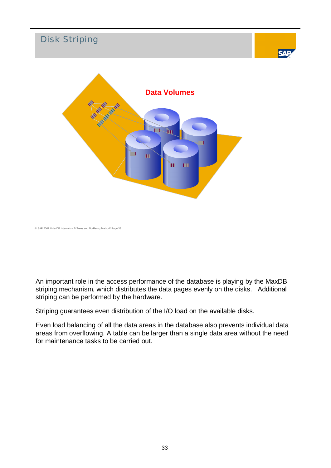

An important role in the access performance of the database is playing by the MaxDB striping mechanism, which distributes the data pages evenly on the disks. Additional striping can be performed by the hardware.

Striping guarantees even distribution of the I/O load on the available disks.

Even load balancing of all the data areas in the database also prevents individual data areas from overflowing. A table can be larger than a single data area without the need for maintenance tasks to be carried out.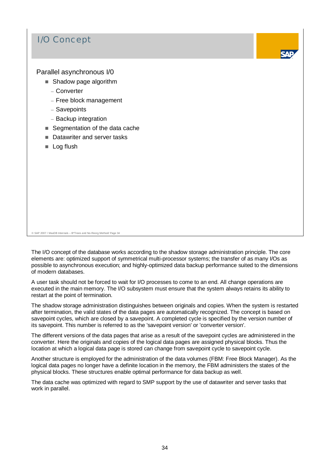### I/O Concept



#### Parallel asynchronous I/0

- Shadow page algorithm
	- Converter
	- Free block management
	- Savepoints
	- Backup integration
- Segmentation of the data cache
- Datawriter and server tasks
- Log flush

© SAP 2007 / MaxDB Internals – B\*Trees and No-Reorg Method/ Page 34

The I/O concept of the database works according to the shadow storage administration principle. The core elements are: optimized support of symmetrical multi-processor systems; the transfer of as many I/Os as possible to asynchronous execution; and highly-optimized data backup performance suited to the dimensions of modern databases.

A user task should not be forced to wait for I/O processes to come to an end. All change operations are executed in the main memory. The I/O subsystem must ensure that the system always retains its ability to restart at the point of termination.

The shadow storage administration distinguishes between originals and copies. When the system is restarted after termination, the valid states of the data pages are automatically recognized. The concept is based on savepoint cycles, which are closed by a savepoint. A completed cycle is specified by the version number of its savepoint. This number is referred to as the 'savepoint version' or 'converter version'.

The different versions of the data pages that arise as a result of the savepoint cycles are administered in the converter. Here the originals and copies of the logical data pages are assigned physical blocks. Thus the location at which a logical data page is stored can change from savepoint cycle to savepoint cycle.

Another structure is employed for the administration of the data volumes (FBM: Free Block Manager). As the logical data pages no longer have a definite location in the memory, the FBM administers the states of the physical blocks. These structures enable optimal performance for data backup as well.

The data cache was optimized with regard to SMP support by the use of datawriter and server tasks that work in parallel.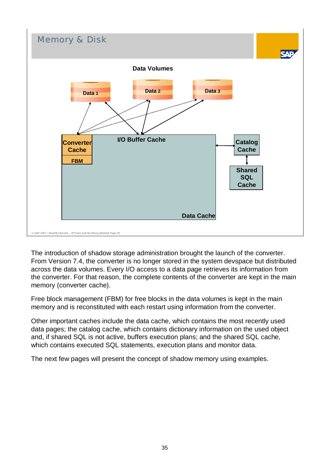

The introduction of shadow storage administration brought the launch of the converter. From Version 7.4, the converter is no longer stored in the system devspace but distributed across the data volumes. Every I/O access to a data page retrieves its information from the converter. For that reason, the complete contents of the converter are kept in the main memory (converter cache).

Free block management (FBM) for free blocks in the data volumes is kept in the main memory and is reconstituted with each restart using information from the converter.

Other important caches include the data cache, which contains the most recently used data pages; the catalog cache, which contains dictionary information on the used object and, if shared SQL is not active, buffers execution plans; and the shared SQL cache, which contains executed SQL statements, execution plans and monitor data.

The next few pages will present the concept of shadow memory using examples.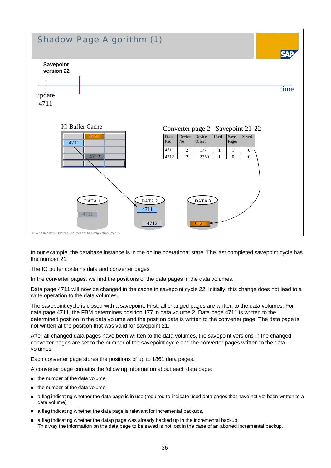

In our example, the database instance is in the online operational state. The last completed savepoint cycle has the number 21.

The IO buffer contains data and converter pages.

In the converter pages, we find the positions of the data pages in the data volumes.

Data page 4711 will now be changed in the cache in savepoint cycle 22. Initially, this change does not lead to a write operation to the data volumes.

The savepoint cycle is closed with a savepoint. First, all changed pages are written to the data volumes. For data page 4711, the FBM determines position 177 in data volume 2. Data page 4711 is written to the determined position in the data volume and the position data is written to the converter page. The data page is not written at the position that was valid for savepoint 21.

After all changed data pages have been written to the data volumes, the savepoint versions in the changed converter pages are set to the number of the savepoint cycle and the converter pages written to the data volumes.

Each converter page stores the positions of up to 1861 data pages.

A converter page contains the following information about each data page:

- the number of the data volume,
- the number of the data volume,
- a flag indicating whether the data page is in use (required to indicate used data pages that have not yet been written to a data volume),
- a flag indicating whether the data page is relevant for incremental backups,
- a flag indicating whether the datap page was already backed up in the incremental backup. This way the information on the data page to be saved is not lost in the case of an aborted incremental backup.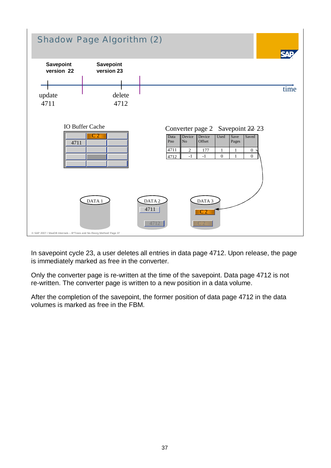

In savepoint cycle 23, a user deletes all entries in data page 4712. Upon release, the page is immediately marked as free in the converter.

Only the converter page is re-written at the time of the savepoint. Data page 4712 is not re-written. The converter page is written to a new position in a data volume.

After the completion of the savepoint, the former position of data page 4712 in the data volumes is marked as free in the FBM.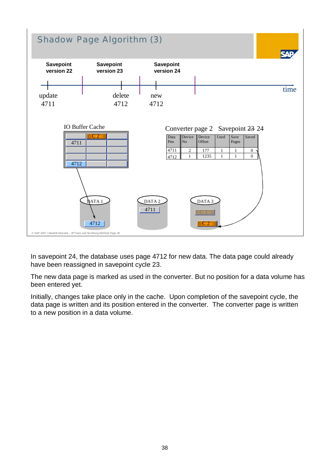

In savepoint 24, the database uses page 4712 for new data. The data page could already have been reassigned in savepoint cycle 23.

The new data page is marked as used in the converter. But no position for a data volume has been entered yet.

Initially, changes take place only in the cache. Upon completion of the savepoint cycle, the data page is written and its position entered in the converter. The converter page is written to a new position in a data volume.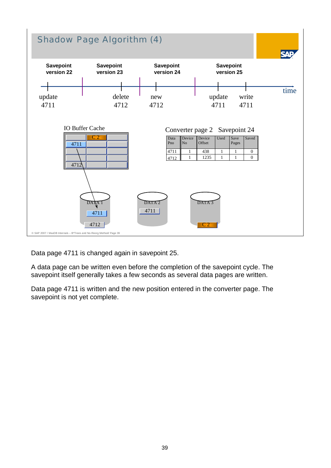

Data page 4711 is changed again in savepoint 25.

A data page can be written even before the completion of the savepoint cycle. The savepoint itself generally takes a few seconds as several data pages are written.

Data page 4711 is written and the new position entered in the converter page. The savepoint is not yet complete.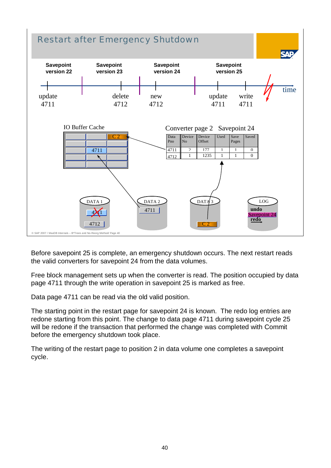

Before savepoint 25 is complete, an emergency shutdown occurs. The next restart reads the valid converters for savepoint 24 from the data volumes.

Free block management sets up when the converter is read. The position occupied by data page 4711 through the write operation in savepoint 25 is marked as free.

Data page 4711 can be read via the old valid position.

The starting point in the restart page for savepoint 24 is known. The redo log entries are redone starting from this point. The change to data page 4711 during savepoint cycle 25 will be redone if the transaction that performed the change was completed with Commit before the emergency shutdown took place.

The writing of the restart page to position 2 in data volume one completes a savepoint cycle.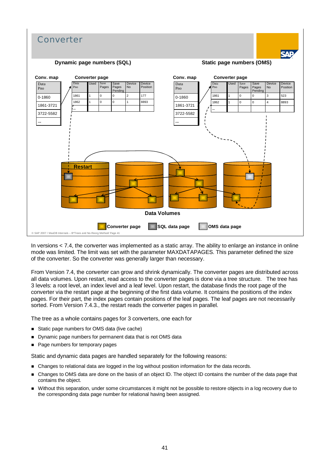

In versions < 7.4, the converter was implemented as a static array. The ability to enlarge an instance in online mode was limited. The limit was set with the parameter MAXDATAPAGES. This parameter defined the size of the converter. So the converter was generally larger than necessary.

From Version 7.4, the converter can grow and shrink dynamically. The converter pages are distributed across all data volumes. Upon restart, read access to the converter pages is done via a tree structure. The tree has 3 levels: a root level, an index level and a leaf level. Upon restart, the database finds the root page of the converter via the restart page at the beginning of the first data volume. It contains the positions of the index pages. For their part, the index pages contain positions of the leaf pages. The leaf pages are not necessarily sorted. From Version 7.4.3., the restart reads the converter pages in parallel.

The tree as a whole contains pages for 3 converters, one each for

- Static page numbers for OMS data (live cache)
- Dynamic page numbers for permanent data that is not OMS data
- Page numbers for temporary pages

Static and dynamic data pages are handled separately for the following reasons:

- **EXECUTE:** Changes to relational data are logged in the log without position information for the data records.
- Changes to OMS data are done on the basis of an object ID. The object ID contains the number of the data page that contains the object.
- Without this separation, under some circumstances it might not be possible to restore objects in a log recovery due to the corresponding data page number for relational having been assigned.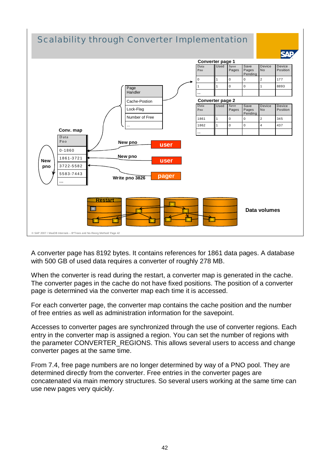

A converter page has 8192 bytes. It contains references for 1861 data pages. A database with 500 GB of used data requires a converter of roughly 278 MB.

When the converter is read during the restart, a converter map is generated in the cache. The converter pages in the cache do not have fixed positions. The position of a converter page is determined via the converter map each time it is accessed.

For each converter page, the converter map contains the cache position and the number of free entries as well as administration information for the savepoint.

Accesses to converter pages are synchronized through the use of converter regions. Each entry in the converter map is assigned a region. You can set the number of regions with the parameter CONVERTER\_REGIONS. This allows several users to access and change converter pages at the same time.

From 7.4, free page numbers are no longer determined by way of a PNO pool. They are determined directly from the converter. Free entries in the converter pages are concatenated via main memory structures. So several users working at the same time can use new pages very quickly.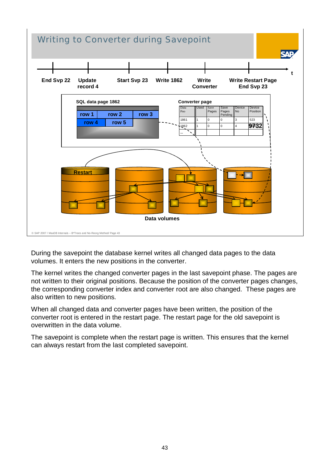

During the savepoint the database kernel writes all changed data pages to the data volumes. It enters the new positions in the converter.

The kernel writes the changed converter pages in the last savepoint phase. The pages are not written to their original positions. Because the position of the converter pages changes, the corresponding converter index and converter root are also changed. These pages are also written to new positions.

When all changed data and converter pages have been written, the position of the converter root is entered in the restart page. The restart page for the old savepoint is overwritten in the data volume.

The savepoint is complete when the restart page is written. This ensures that the kernel can always restart from the last completed savepoint.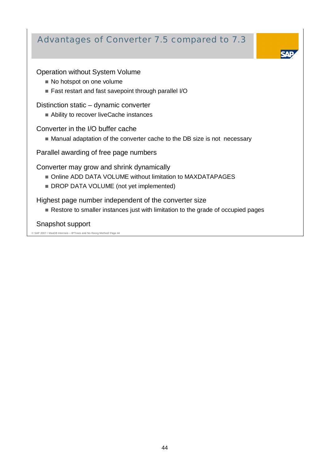### Advantages of Converter 7.5 compared to 7.3

#### Operation without System Volume

- No hotspot on one volume
- Fast restart and fast savepoint through parallel I/O

Distinction static – dynamic converter

■ Ability to recover liveCache instances

Converter in the I/O buffer cache

■ Manual adaptation of the converter cache to the DB size is not necessary

Parallel awarding of free page numbers

Converter may grow and shrink dynamically

- Online ADD DATA VOLUME without limitation to MAXDATAPAGES
- DROP DATA VOLUME (not yet implemented)

Highest page number independent of the converter size

Restore to smaller instances just with limitation to the grade of occupied pages

Snapshot support

© SAP 2007 / MaxDB Internals – B\*Trees and No-Reorg Method/ Page 44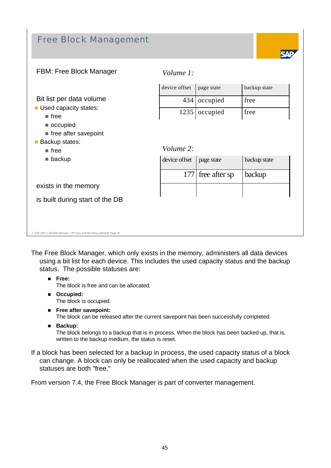# Free Block Management



#### FBM: Free Block Manager

Bit list per data volume **Used capacity states:** 

*Volume 1:*

| device offset   page state |                   | backup state |
|----------------------------|-------------------|--------------|
|                            | 434 occupied      | tree         |
|                            | $1235$   occupied | tree         |

 $\blacksquare$  free after savepoint **Backup states:** 

occupied

 $r = \text{free}$ 

free

**backup** 

*Volume 2:*

| device offset   page state |                     | backup state |
|----------------------------|---------------------|--------------|
|                            | $177$ free after sp | backup       |
|                            |                     |              |

exists in the memory

is built during start of the DB

#### © SAP 2007 / MaxDB Internals – B\*Trees and No-Reorg Method/ Page 45

The Free Block Manager, which only exists in the memory, administers all data devices using a bit list for each device. This includes the used capacity status and the backup status. The possible statuses are:

- **Free:** The block is free and can be allocated.
- **Occupied:**

The block is occupied.

**Free after savepoint:** 

The block can be released after the current savepoint has been successfully completed.

**Backup:**

The block belongs to a backup that is in process. When the block has been backed up, that is, written to the backup medium, the status is reset.

If a block has been selected for a backup in process, the used capacity status of a block can change. A block can only be reallocated when the used capacity and backup statuses are both "free."

From version 7.4, the Free Block Manager is part of converter management.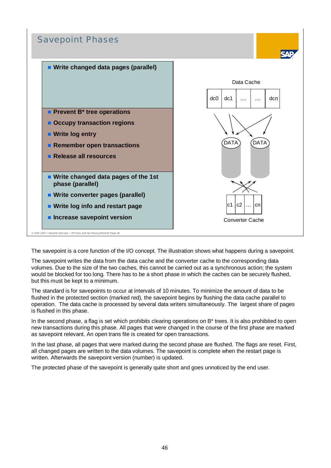

The savepoint is a core function of the I/O concept. The illustration shows what happens during a savepoint.

The savepoint writes the data from the data cache and the converter cache to the corresponding data volumes. Due to the size of the two caches, this cannot be carried out as a synchronous action; the system would be blocked for too long. There has to be a short phase in which the caches can be securely flushed, but this must be kept to a minimum.

The standard is for savepoints to occur at intervals of 10 minutes. To minimize the amount of data to be flushed in the protected section (marked red), the savepoint begins by flushing the data cache parallel to operation. The data cache is processed by several data writers simultaneously. The largest share of pages is flushed in this phase.

In the second phase, a flag is set which prohibits clearing operations on B<sup>\*</sup> trees. It is also prohibited to open new transactions during this phase. All pages that were changed in the course of the first phase are marked as savepoint relevant. An open trans file is created for open transactions.

In the last phase, all pages that were marked during the second phase are flushed. The flags are reset. First, all changed pages are written to the data volumes. The savepoint is complete when the restart page is written. Afterwards the savepoint version (number) is updated.

The protected phase of the savepoint is generally quite short and goes unnoticed by the end user.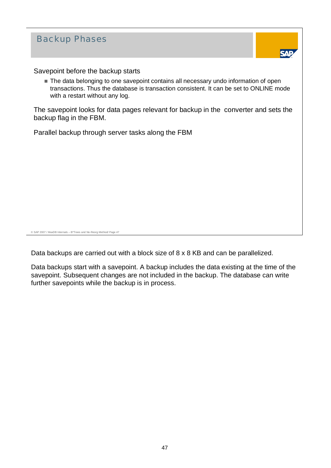| <b>Backup Phases</b>                                                                                                                                                                                                                                      |
|-----------------------------------------------------------------------------------------------------------------------------------------------------------------------------------------------------------------------------------------------------------|
| Savepoint before the backup starts<br>■ The data belonging to one savepoint contains all necessary undo information of open<br>transactions. Thus the database is transaction consistent. It can be set to ONLINE mode<br>with a restart without any log. |
| The savepoint looks for data pages relevant for backup in the converter and sets the<br>backup flag in the FBM.                                                                                                                                           |
| Parallel backup through server tasks along the FBM                                                                                                                                                                                                        |
|                                                                                                                                                                                                                                                           |
|                                                                                                                                                                                                                                                           |
|                                                                                                                                                                                                                                                           |
|                                                                                                                                                                                                                                                           |
| © SAP 2007 / MaxDB Internals - B*Trees and No-Reorg Method/ Page 47                                                                                                                                                                                       |

Data backups are carried out with a block size of 8 x 8 KB and can be parallelized.

Data backups start with a savepoint. A backup includes the data existing at the time of the savepoint. Subsequent changes are not included in the backup. The database can write further savepoints while the backup is in process.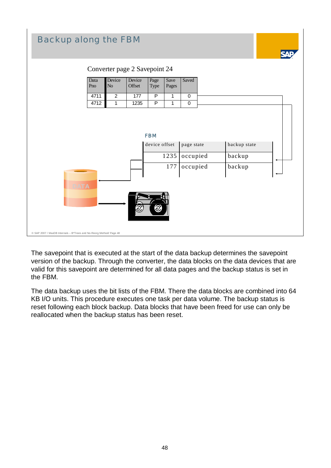

The savepoint that is executed at the start of the data backup determines the savepoint version of the backup. Through the converter, the data blocks on the data devices that are valid for this savepoint are determined for all data pages and the backup status is set in the FBM.

The data backup uses the bit lists of the FBM. There the data blocks are combined into 64 KB I/O units. This procedure executes one task per data volume. The backup status is reset following each block backup. Data blocks that have been freed for use can only be reallocated when the backup status has been reset.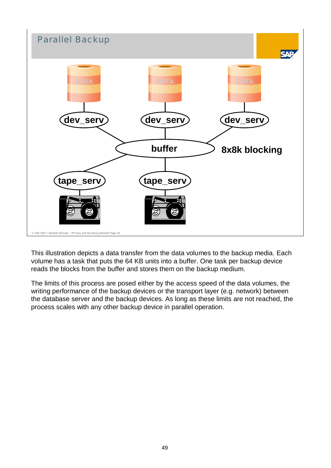

This illustration depicts a data transfer from the data volumes to the backup media. Each volume has a task that puts the 64 KB units into a buffer. One task per backup device reads the blocks from the buffer and stores them on the backup medium.

The limits of this process are posed either by the access speed of the data volumes, the writing performance of the backup devices or the transport layer (e.g. network) between the database server and the backup devices. As long as these limits are not reached, the process scales with any other backup device in parallel operation.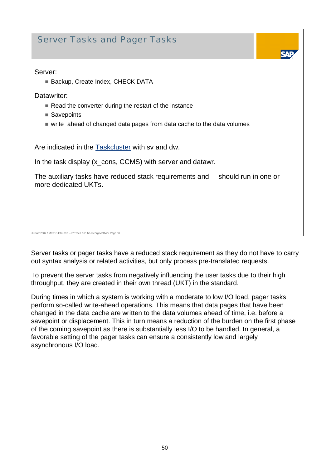### Server Tasks and Pager Tasks

#### Server:

■ Backup, Create Index, CHECK DATA

Datawriter:

- Read the converter during the restart of the instance
- Savepoints
- write\_ahead of changed data pages from data cache to the data volumes

Are indicated in the Taskcluster with sv and dw.

In the task display (x\_cons, CCMS) with server and datawr.

The auxiliary tasks have reduced stack requirements and should run in one or more dedicated UKTs.

© SAP 2007 / MaxDB Internals – B\*Trees and No-Reorg Method/ Page 50

Server tasks or pager tasks have a reduced stack requirement as they do not have to carry out syntax analysis or related activities, but only process pre-translated requests.

To prevent the server tasks from negatively influencing the user tasks due to their high throughput, they are created in their own thread (UKT) in the standard.

During times in which a system is working with a moderate to low I/O load, pager tasks perform so-called write-ahead operations. This means that data pages that have been changed in the data cache are written to the data volumes ahead of time, i.e. before a savepoint or displacement. This in turn means a reduction of the burden on the first phase of the coming savepoint as there is substantially less I/O to be handled. In general, a favorable setting of the pager tasks can ensure a consistently low and largely asynchronous I/O load.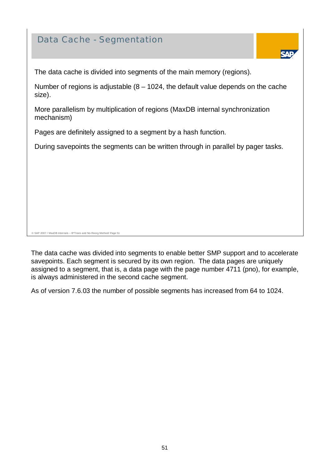### Data Cache - Segmentation



The data cache is divided into segments of the main memory (regions).

Number of regions is adjustable  $(8 - 1024)$ , the default value depends on the cache size).

More parallelism by multiplication of regions (MaxDB internal synchronization mechanism)

Pages are definitely assigned to a segment by a hash function.

During savepoints the segments can be written through in parallel by pager tasks.

© SAP 2007 / MaxDB Internals – B\*Trees and No-Reorg Method/ Page 51

The data cache was divided into segments to enable better SMP support and to accelerate savepoints. Each segment is secured by its own region. The data pages are uniquely assigned to a segment, that is, a data page with the page number 4711 (pno), for example, is always administered in the second cache segment.

As of version 7.6.03 the number of possible segments has increased from 64 to 1024.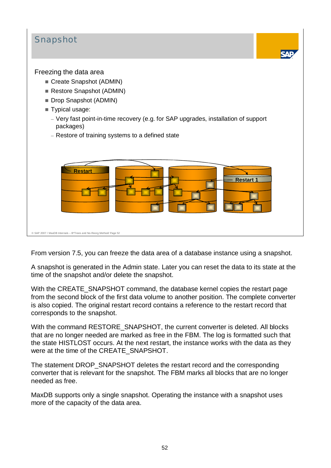

From version 7.5, you can freeze the data area of a database instance using a snapshot.

A snapshot is generated in the Admin state. Later you can reset the data to its state at the time of the snapshot and/or delete the snapshot.

With the CREATE\_SNAPSHOT command, the database kernel copies the restart page from the second block of the first data volume to another position. The complete converter is also copied. The original restart record contains a reference to the restart record that corresponds to the snapshot.

With the command RESTORE SNAPSHOT, the current converter is deleted. All blocks that are no longer needed are marked as free in the FBM. The log is formatted such that the state HISTLOST occurs. At the next restart, the instance works with the data as they were at the time of the CREATE\_SNAPSHOT.

The statement DROP\_SNAPSHOT deletes the restart record and the corresponding converter that is relevant for the snapshot. The FBM marks all blocks that are no longer needed as free.

MaxDB supports only a single snapshot. Operating the instance with a snapshot uses more of the capacity of the data area.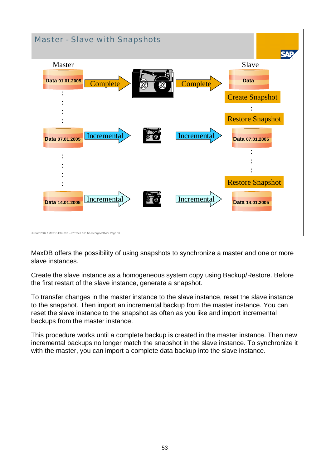

MaxDB offers the possibility of using snapshots to synchronize a master and one or more slave instances.

Create the slave instance as a homogeneous system copy using Backup/Restore. Before the first restart of the slave instance, generate a snapshot.

To transfer changes in the master instance to the slave instance, reset the slave instance to the snapshot. Then import an incremental backup from the master instance. You can reset the slave instance to the snapshot as often as you like and import incremental backups from the master instance.

This procedure works until a complete backup is created in the master instance. Then new incremental backups no longer match the snapshot in the slave instance. To synchronize it with the master, you can import a complete data backup into the slave instance.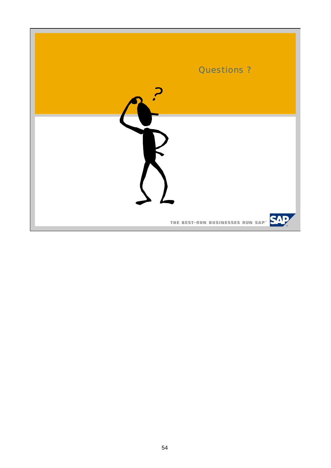